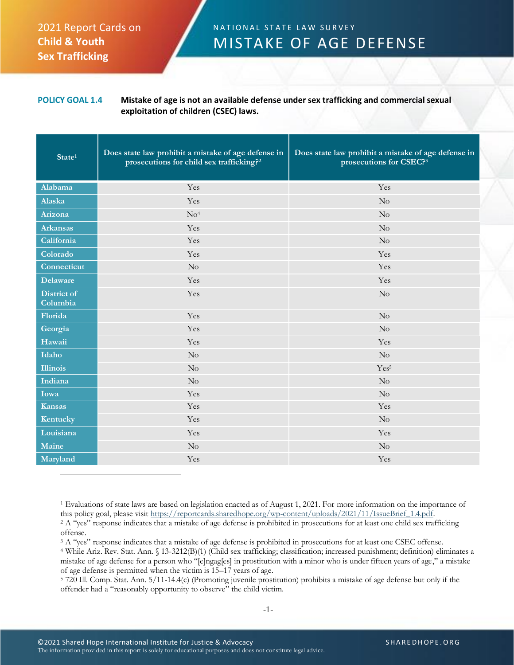## 2021 Report Cards on **Child & Youth Sex Trafficking**

## N A T I O N A L S T A T E L A W S U R V E Y MISTAKE OF AGE DEFENSE

**POLICY GOAL 1.4 Mistake of age is not an available defense under sex trafficking and commercial sexual exploitation of children (CSEC) laws.**

| State <sup>1</sup>             | Does state law prohibit a mistake of age defense in<br>prosecutions for child sex trafficking? <sup>2</sup> | Does state law prohibit a mistake of age defense in<br>prosecutions for CSEC?3 |
|--------------------------------|-------------------------------------------------------------------------------------------------------------|--------------------------------------------------------------------------------|
| Alabama                        | Yes                                                                                                         | Yes                                                                            |
| Alaska                         | Yes                                                                                                         | No                                                                             |
| Arizona                        | No <sup>4</sup>                                                                                             | No                                                                             |
| <b>Arkansas</b>                | Yes                                                                                                         | No                                                                             |
| California                     | Yes                                                                                                         | No                                                                             |
| Colorado                       | Yes                                                                                                         | Yes                                                                            |
| Connecticut                    | No                                                                                                          | Yes                                                                            |
| <b>Delaware</b>                | Yes                                                                                                         | Yes                                                                            |
| <b>District of</b><br>Columbia | Yes                                                                                                         | No                                                                             |
| Florida                        | Yes                                                                                                         | No                                                                             |
| Georgia                        | Yes                                                                                                         | No                                                                             |
| Hawaii                         | Yes                                                                                                         | Yes                                                                            |
| Idaho                          | No                                                                                                          | No                                                                             |
| <b>Illinois</b>                | No                                                                                                          | Yes <sup>5</sup>                                                               |
| Indiana                        | $\rm No$                                                                                                    | No                                                                             |
| Iowa                           | Yes                                                                                                         | No                                                                             |
| Kansas                         | Yes                                                                                                         | Yes                                                                            |
| Kentucky                       | Yes                                                                                                         | No                                                                             |
| Louisiana                      | Yes                                                                                                         | Yes                                                                            |
| Maine                          | No                                                                                                          | $\rm No$                                                                       |
| Maryland                       | Yes                                                                                                         | Yes                                                                            |

<sup>1</sup> Evaluations of state laws are based on legislation enacted as of August 1, 2021. For more information on the importance of this policy goal, please visit [https://reportcards.sharedhope.org/wp-content/uploads/2021/11/IssueBrief\\_1.4.pdf.](https://reportcards.sharedhope.org/wp-content/uploads/2021/11/IssueBrief_1.4.pdf)

<sup>2</sup> A "yes" response indicates that a mistake of age defense is prohibited in prosecutions for at least one child sex trafficking offense.

<sup>3</sup> A "yes" response indicates that a mistake of age defense is prohibited in prosecutions for at least one CSEC offense.

<sup>4</sup> While Ariz. Rev. Stat. Ann. § 13-3212(B)(1) (Child sex trafficking; classification; increased punishment; definition) eliminates a mistake of age defense for a person who "[e]ngag[es] in prostitution with a minor who is under fifteen years of age," a mistake of age defense is permitted when the victim is 15–17 years of age.

<sup>5</sup> 720 Ill. Comp. Stat. Ann. 5/11-14.4(c) (Promoting juvenile prostitution) prohibits a mistake of age defense but only if the offender had a "reasonably opportunity to observe" the child victim.